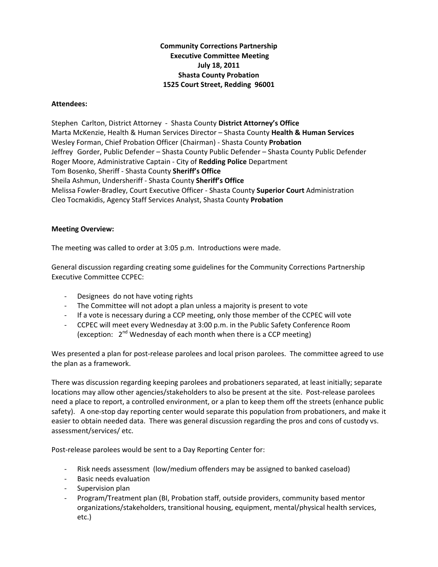# **Community Corrections Partnership Executive Committee Meeting July 18, 2011 Shasta County Probation 1525 Court Street, Redding 96001**

### **Attendees:**

Stephen Carlton, District Attorney ‐ Shasta County **District Attorney's Office** Marta McKenzie, Health & Human Services Director – Shasta County **Health & Human Services** Wesley Forman, Chief Probation Officer (Chairman) ‐ Shasta County **Probation** Jeffrey Gorder, Public Defender – Shasta County Public Defender – Shasta County Public Defender Roger Moore, Administrative Captain ‐ City of **Redding Police** Department Tom Bosenko, Sheriff ‐ Shasta County **Sheriff's Office** Sheila Ashmun, Undersheriff ‐ Shasta County **Sheriff's Office** Melissa Fowler‐Bradley, Court Executive Officer ‐ Shasta County **Superior Court** Administration Cleo Tocmakidis, Agency Staff Services Analyst, Shasta County **Probation**

## **Meeting Overview:**

The meeting was called to order at 3:05 p.m. Introductions were made.

General discussion regarding creating some guidelines for the Community Corrections Partnership Executive Committee CCPEC:

- ‐ Designees do not have voting rights
- ‐ The Committee will not adopt a plan unless a majority is present to vote
- ‐ If a vote is necessary during a CCP meeting, only those member of the CCPEC will vote
- ‐ CCPEC will meet every Wednesday at 3:00 p.m. in the Public Safety Conference Room (exception:  $2^{nd}$  Wednesday of each month when there is a CCP meeting)

Wes presented a plan for post-release parolees and local prison parolees. The committee agreed to use the plan as a framework.

There was discussion regarding keeping parolees and probationers separated, at least initially; separate locations may allow other agencies/stakeholders to also be present at the site. Post-release parolees need a place to report, a controlled environment, or a plan to keep them off the streets (enhance public safety). A one-stop day reporting center would separate this population from probationers, and make it easier to obtain needed data. There was general discussion regarding the pros and cons of custody vs. assessment/services/ etc.

Post-release parolees would be sent to a Day Reporting Center for:

- ‐ Risk needs assessment (low/medium offenders may be assigned to banked caseload)
- ‐ Basic needs evaluation
- ‐ Supervision plan
- ‐ Program/Treatment plan (BI, Probation staff, outside providers, community based mentor organizations/stakeholders, transitional housing, equipment, mental/physical health services, etc.)